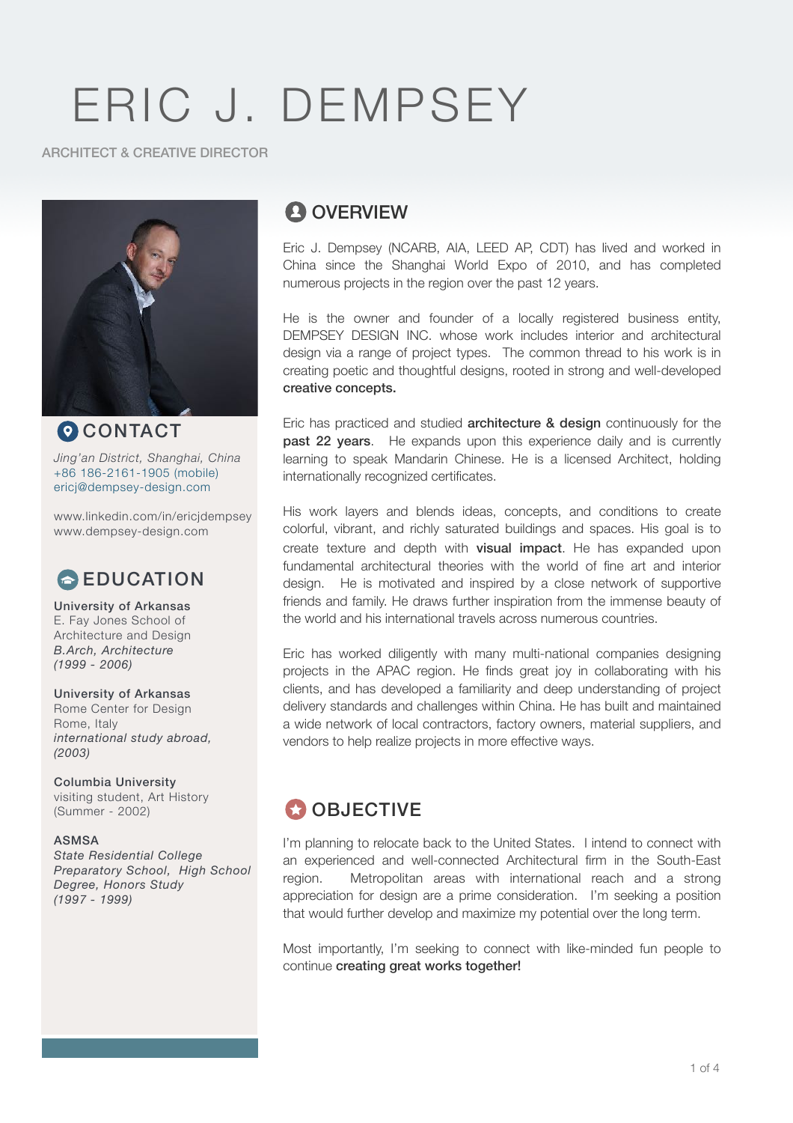#### ARCHITECT & CREATIVE DIRECTOR



**O** CONTACT *Jing'an District, Shanghai, China* +86 186-2161-1905 (mobile) [ericj@dempsey-design.com](mailto:ericj@dempsey-design.com)

www.linkedin.com/in/ericjdempsey www.dempsey-design.com

# **EDUCATION**

University of Arkansas E. Fay Jones School of Architecture and Design *B.Arch, Architecture (1999 - 2006)* 

#### University of Arkansas

Rome Center for Design Rome, Italy *international study abroad, (2003)* 

Columbia University visiting student, Art History (Summer - 2002)

#### ASMSA

*State Residential College Preparatory School, High School Degree, Honors Study (1997 - 1999)*

# **A** OVERVIEW

Eric J. Dempsey (NCARB, AIA, LEED AP, CDT) has lived and worked in China since the Shanghai World Expo of 2010, and has completed numerous projects in the region over the past 12 years.

He is the owner and founder of a locally registered business entity, DEMPSEY DESIGN INC. whose work includes interior and architectural design via a range of project types. The common thread to his work is in creating poetic and thoughtful designs, rooted in strong and well-developed creative concepts.

Eric has practiced and studied **architecture & design** continuously for the **past 22 years.** He expands upon this experience daily and is currently learning to speak Mandarin Chinese. He is a licensed Architect, holding internationally recognized certificates.

His work layers and blends ideas, concepts, and conditions to create colorful, vibrant, and richly saturated buildings and spaces. His goal is to create texture and depth with **visual impact**. He has expanded upon fundamental architectural theories with the world of fine art and interior design. He is motivated and inspired by a close network of supportive friends and family. He draws further inspiration from the immense beauty of the world and his international travels across numerous countries.

Eric has worked diligently with many multi-national companies designing projects in the APAC region. He finds great joy in collaborating with his clients, and has developed a familiarity and deep understanding of project delivery standards and challenges within China. He has built and maintained a wide network of local contractors, factory owners, material suppliers, and vendors to help realize projects in more effective ways.

# **CO** OBJECTIVE

I'm planning to relocate back to the United States. I intend to connect with an experienced and well-connected Architectural firm in the South-East region. Metropolitan areas with international reach and a strong appreciation for design are a prime consideration. I'm seeking a position that would further develop and maximize my potential over the long term.

Most importantly, I'm seeking to connect with like-minded fun people to continue creating great works together!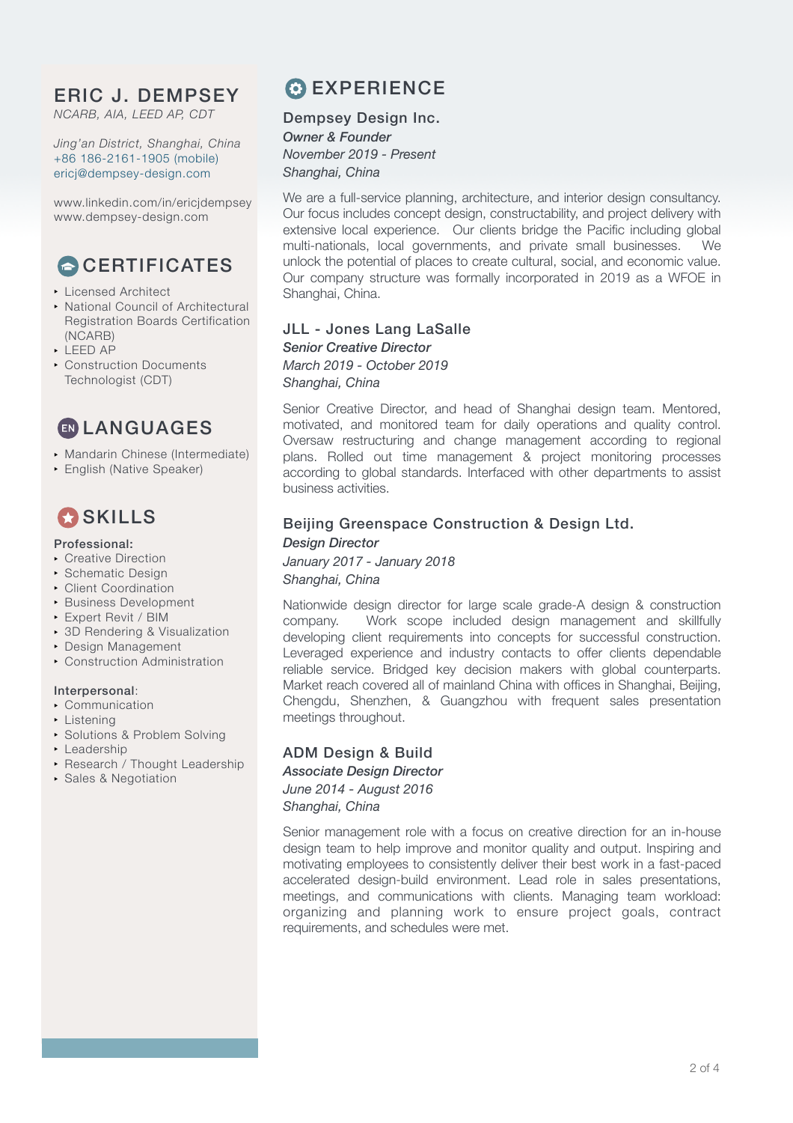*NCARB, AIA, LEED AP, CDT*

*Jing'an District, Shanghai, China* +86 186-2161-1905 (mobile) [ericj@dempsey-design.com](mailto:ericj@dempsey-design.com)

www.linkedin.com/in/ericjdempsey www.dempsey-design.com

# **CERTIFICATES**

- **Licensed Architect**
- National Council of Architectural Registration Boards Certification (NCARB)
- $\blacktriangleright$  LEED AP
- **Construction Documents** Technologist (CDT)

**ED LANGUAGES** 

- **Mandarin Chinese (Intermediate)**
- **English (Native Speaker)**

# **C**SKILLS

#### Professional:

- **Creative Direction**
- **Schematic Design**
- **Client Coordination**
- **Business Development**
- **Expert Revit / BIM**
- 3D Rendering & Visualization
- **Design Management**
- **Construction Administration**

#### Interpersonal:

- **Communication**
- Listening
- **.** Solutions & Problem Solving
- Leadership
- **Research / Thought Leadership**
- ! Sales & Negotiation

# **C** EXPERIENCE

### Dempsey Design Inc.

*Owner & Founder November 2019 - Present Shanghai, China* 

We are a full-service planning, architecture, and interior design consultancy. Our focus includes concept design, constructability, and project delivery with extensive local experience. Our clients bridge the Pacific including global multi-nationals, local governments, and private small businesses. We unlock the potential of places to create cultural, social, and economic value. Our company structure was formally incorporated in 2019 as a WFOE in Shanghai, China.

### JLL - Jones Lang LaSalle

*Senior Creative Director March 2019 - October 2019 Shanghai, China* 

Senior Creative Director, and head of Shanghai design team. Mentored, motivated, and monitored team for daily operations and quality control. Oversaw restructuring and change management according to regional plans. Rolled out time management & project monitoring processes according to global standards. Interfaced with other departments to assist business activities.

### Beijing Greenspace Construction & Design Ltd. *Design Director*

#### *January 2017 - January 2018 Shanghai, China*

Nationwide design director for large scale grade-A design & construction company. Work scope included design management and skillfully developing client requirements into concepts for successful construction. Leveraged experience and industry contacts to offer clients dependable reliable service. Bridged key decision makers with global counterparts. Market reach covered all of mainland China with offices in Shanghai, Beijing, Chengdu, Shenzhen, & Guangzhou with frequent sales presentation meetings throughout.

#### ADM Design & Build *Associate Design Director June 2014 - August 2016 Shanghai, China*

Senior management role with a focus on creative direction for an in-house design team to help improve and monitor quality and output. Inspiring and motivating employees to consistently deliver their best work in a fast-paced accelerated design-build environment. Lead role in sales presentations, meetings, and communications with clients. Managing team workload: organizing and planning work to ensure project goals, contract requirements, and schedules were met.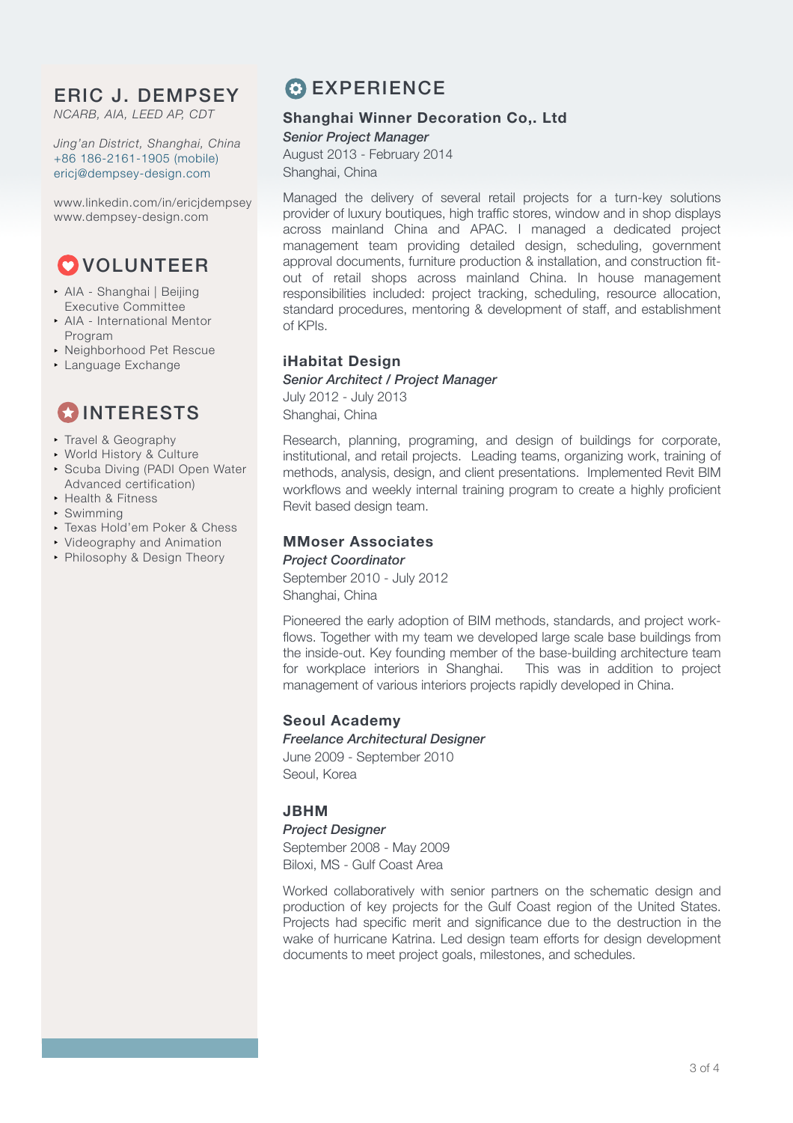*NCARB, AIA, LEED AP, CDT*

*Jing'an District, Shanghai, China* +86 186-2161-1905 (mobile) [ericj@dempsey-design.com](mailto:ericj@dempsey-design.com)

www.linkedin.com/in/ericjdempsey www.dempsey-design.com

# **O**VOLUNTEER

- ! AIA Shanghai | Beijing Executive Committee
- **AIA International Mentor** Program
- **Neighborhood Pet Rescue**
- **Language Exchange**

# **COINTERESTS**

- **Travel & Geography**
- **World History & Culture**
- **.** Scuba Diving (PADI Open Water Advanced certification)
- ▶ Health & Fitness
- **· Swimming**
- **F** Texas Hold'em Poker & Chess
- **Videography and Animation**
- Philosophy & Design Theory

# **C** EXPERIENCE

### **Shanghai Winner Decoration Co,. Ltd**

#### *Senior Project Manager*

August 2013 - February 2014 Shanghai, China

Managed the delivery of several retail projects for a turn-key solutions provider of luxury boutiques, high traffic stores, window and in shop displays across mainland China and APAC. I managed a dedicated project management team providing detailed design, scheduling, government approval documents, furniture production & installation, and construction fitout of retail shops across mainland China. In house management responsibilities included: project tracking, scheduling, resource allocation, standard procedures, mentoring & development of staff, and establishment of KPIs.

### **iHabitat Design**

#### *Senior Architect / Project Manager*

July 2012 - July 2013 Shanghai, China

Research, planning, programing, and design of buildings for corporate, institutional, and retail projects. Leading teams, organizing work, training of methods, analysis, design, and client presentations. Implemented Revit BIM workflows and weekly internal training program to create a highly proficient Revit based design team.

### **MMoser Associates**

*Project Coordinator*

September 2010 - July 2012 Shanghai, China

Pioneered the early adoption of BIM methods, standards, and project workflows. Together with my team we developed large scale base buildings from the inside-out. Key founding member of the base-building architecture team for workplace interiors in Shanghai. This was in addition to project management of various interiors projects rapidly developed in China.

### **Seoul Academy**

*Freelance Architectural Designer* June 2009 - September 2010 Seoul, Korea

### **JBHM**

*Project Designer*

September 2008 - May 2009 Biloxi, MS - Gulf Coast Area

Worked collaboratively with senior partners on the schematic design and production of key projects for the Gulf Coast region of the United States. Projects had specific merit and significance due to the destruction in the wake of hurricane Katrina. Led design team efforts for design development documents to meet project goals, milestones, and schedules.